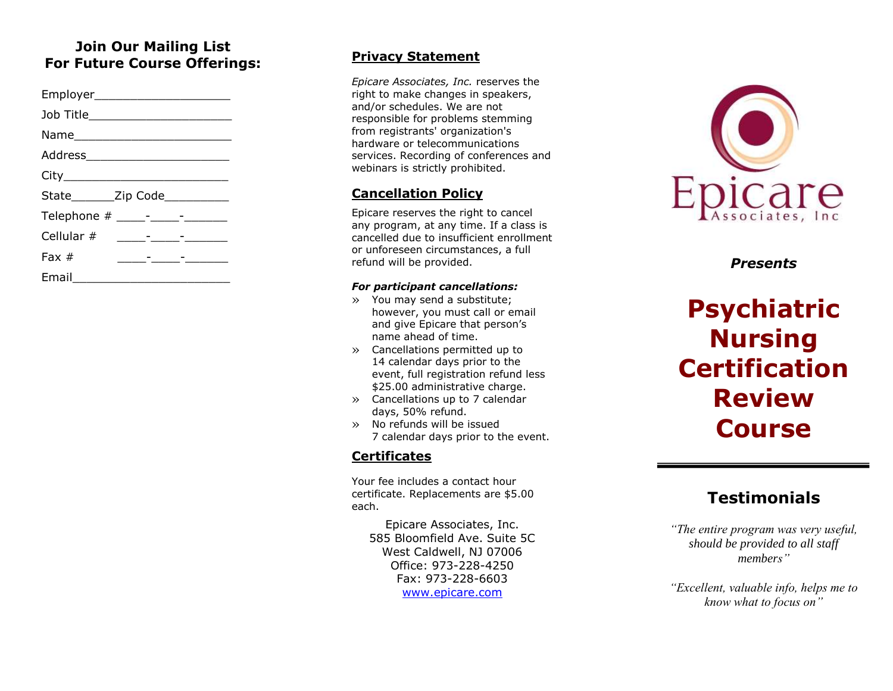#### **Join Our Mailing List For Future Course Offerings:**

| Employer_________________________                                             |  |
|-------------------------------------------------------------------------------|--|
| Job Title___________________________                                          |  |
|                                                                               |  |
| Address__________________________                                             |  |
|                                                                               |  |
| State________Zip Code___________                                              |  |
| Telephone # _____-_____-______                                                |  |
| Cellular #<br><u> 1980 - Andrea Station Barbara (b. 1980)</u>                 |  |
| Fax $#$<br><u> 1986 - Andrea Station Barbara, amerikan personal (h. 1976)</u> |  |
| Email                                                                         |  |

#### **Privacy Statement**

*Epicare Associates, Inc.* reserves the right to make changes in speakers, and/or schedules. We are not responsible for problems stemming from registrants' organization's hardware or telecommunications services. Recording of conferences and webinars is strictly prohibited.

#### **Cancellation Policy**

Epicare reserves the right to cancel any program, at any time. If a class is cancelled due to insufficient enrollment or unforeseen circumstances, a full refund will be provided.

#### *For participant cancellations:*

- » You may send a substitute; however, you must call or email and give Epicare that person's name ahead of time.
- » Cancellations permitted up to 14 calendar days prior to the event, full registration refund less \$25.00 administrative charge.
- » Cancellations up to 7 calendar days, 50% refund.
- » No refunds will be issued 7 calendar days prior to the event.

#### **Certificates**

Your fee includes a contact hour certificate. Replacements are \$5.00 each.

Epicare Associates, Inc. 585 Bloomfield Ave. Suite 5C West Caldwell, NJ 07006 Office: 973 -228 -4250 Fax: 973 -228 -6603 [www.epicare.com](http://www.epicare.com/)



*Presents*

# **Psychiatric Nursing Certification Review Course**

## **Testimonials**

*"The entire program was very useful, should be provided to all staff members"*

*"Excellent, valuable info, helps me to know what to focus on"*